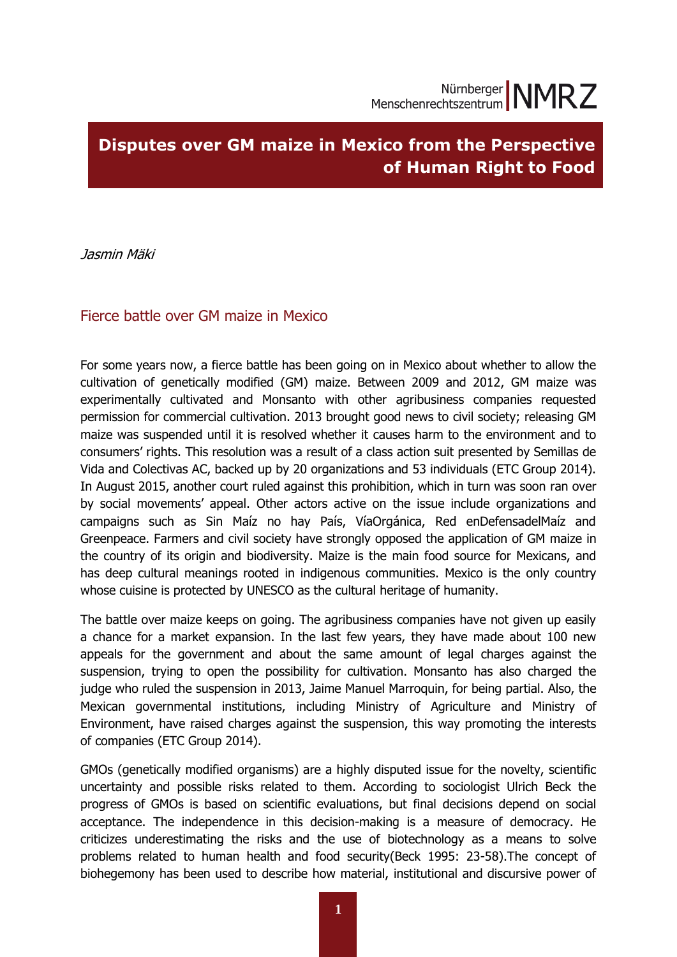# **Disputes over GM maize in Mexico from the Perspective of Human Right to Food**

Jasmin Mäki

## Fierce battle over GM maize in Mexico

For some years now, a fierce battle has been going on in Mexico about whether to allow the cultivation of genetically modified (GM) maize. Between 2009 and 2012, GM maize was experimentally cultivated and Monsanto with other agribusiness companies requested permission for commercial cultivation. 2013 brought good news to civil society; releasing GM maize was suspended until it is resolved whether it causes harm to the environment and to consumers' rights. This resolution was a result of a class action suit presented by Semillas de Vida and Colectivas AC, backed up by 20 organizations and 53 individuals (ETC Group 2014). In August 2015, another court ruled against this prohibition, which in turn was soon ran over by social movements' appeal. Other actors active on the issue include organizations and campaigns such as Sin Maíz no hay País, VíaOrgánica, Red enDefensadelMaíz and Greenpeace. Farmers and civil society have strongly opposed the application of GM maize in the country of its origin and biodiversity. Maize is the main food source for Mexicans, and has deep cultural meanings rooted in indigenous communities. Mexico is the only country whose cuisine is protected by UNESCO as the cultural heritage of humanity.

The battle over maize keeps on going. The agribusiness companies have not given up easily a chance for a market expansion. In the last few years, they have made about 100 new appeals for the government and about the same amount of legal charges against the suspension, trying to open the possibility for cultivation. Monsanto has also charged the judge who ruled the suspension in 2013, Jaime Manuel Marroquin, for being partial. Also, the Mexican governmental institutions, including Ministry of Agriculture and Ministry of Environment, have raised charges against the suspension, this way promoting the interests of companies (ETC Group 2014).

GMOs (genetically modified organisms) are a highly disputed issue for the novelty, scientific uncertainty and possible risks related to them. According to sociologist Ulrich Beck the progress of GMOs is based on scientific evaluations, but final decisions depend on social acceptance. The independence in this decision-making is a measure of democracy. He criticizes underestimating the risks and the use of biotechnology as a means to solve problems related to human health and food security(Beck 1995: 23-58).The concept of biohegemony has been used to describe how material, institutional and discursive power of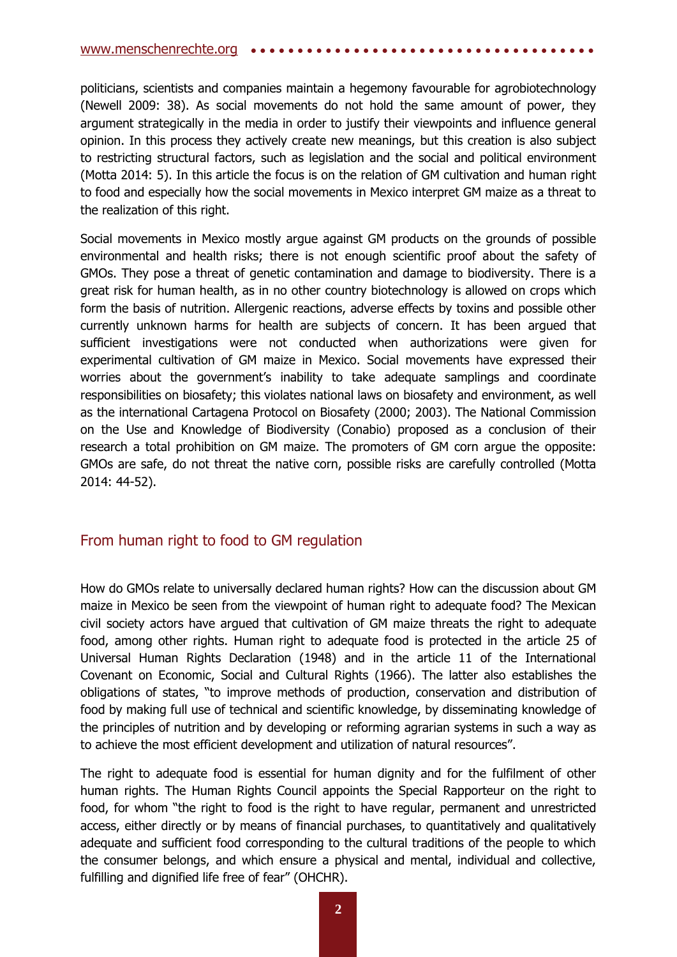politicians, scientists and companies maintain a hegemony favourable for agrobiotechnology (Newell 2009: 38). As social movements do not hold the same amount of power, they argument strategically in the media in order to justify their viewpoints and influence general opinion. In this process they actively create new meanings, but this creation is also subject to restricting structural factors, such as legislation and the social and political environment (Motta 2014: 5). In this article the focus is on the relation of GM cultivation and human right to food and especially how the social movements in Mexico interpret GM maize as a threat to the realization of this right.

Social movements in Mexico mostly argue against GM products on the grounds of possible environmental and health risks; there is not enough scientific proof about the safety of GMOs. They pose a threat of genetic contamination and damage to biodiversity. There is a great risk for human health, as in no other country biotechnology is allowed on crops which form the basis of nutrition. Allergenic reactions, adverse effects by toxins and possible other currently unknown harms for health are subjects of concern. It has been argued that sufficient investigations were not conducted when authorizations were given for experimental cultivation of GM maize in Mexico. Social movements have expressed their worries about the government's inability to take adequate samplings and coordinate responsibilities on biosafety; this violates national laws on biosafety and environment, as well as the international Cartagena Protocol on Biosafety (2000; 2003). The National Commission on the Use and Knowledge of Biodiversity (Conabio) proposed as a conclusion of their research a total prohibition on GM maize. The promoters of GM corn argue the opposite: GMOs are safe, do not threat the native corn, possible risks are carefully controlled (Motta 2014: 44-52).

# From human right to food to GM regulation

How do GMOs relate to universally declared human rights? How can the discussion about GM maize in Mexico be seen from the viewpoint of human right to adequate food? The Mexican civil society actors have argued that cultivation of GM maize threats the right to adequate food, among other rights. Human right to adequate food is protected in the article 25 of Universal Human Rights Declaration (1948) and in the article 11 of the International Covenant on Economic, Social and Cultural Rights (1966). The latter also establishes the obligations of states, "to improve methods of production, conservation and distribution of food by making full use of technical and scientific knowledge, by disseminating knowledge of the principles of nutrition and by developing or reforming agrarian systems in such a way as to achieve the most efficient development and utilization of natural resources".

The right to adequate food is essential for human dignity and for the fulfilment of other human rights. The Human Rights Council appoints the Special Rapporteur on the right to food, for whom "the right to food is the right to have regular, permanent and unrestricted access, either directly or by means of financial purchases, to quantitatively and qualitatively adequate and sufficient food corresponding to the cultural traditions of the people to which the consumer belongs, and which ensure a physical and mental, individual and collective, fulfilling and dignified life free of fear" (OHCHR).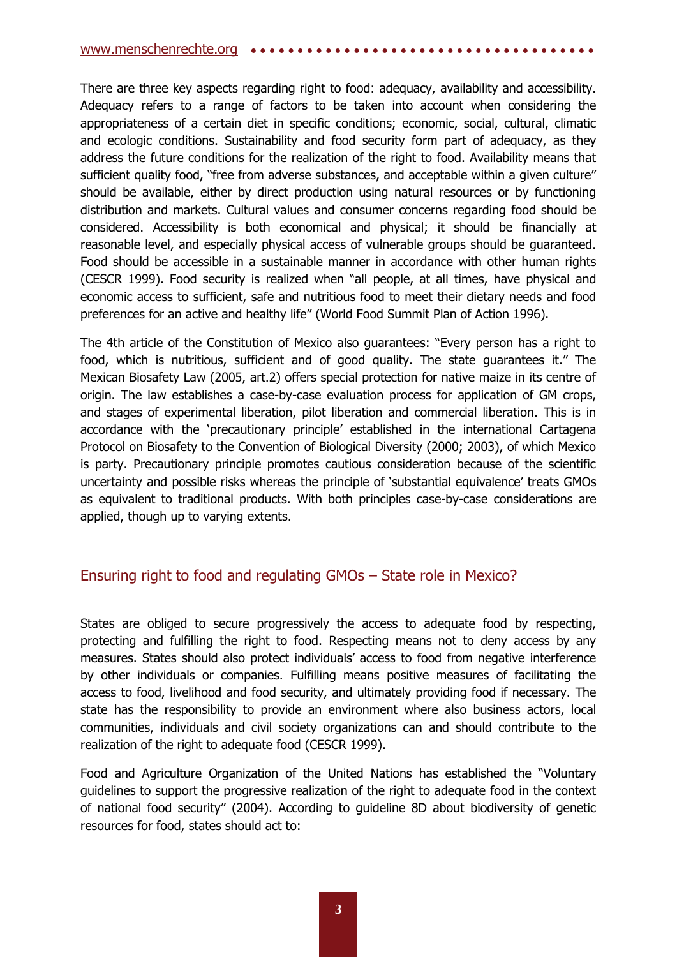#### [www.menschenrechte.org](http://www.menschenrechte.org/) ••••••

There are three key aspects regarding right to food: adequacy, availability and accessibility. Adequacy refers to a range of factors to be taken into account when considering the appropriateness of a certain diet in specific conditions; economic, social, cultural, climatic and ecologic conditions. Sustainability and food security form part of adequacy, as they address the future conditions for the realization of the right to food. Availability means that sufficient quality food, "free from adverse substances, and acceptable within a given culture" should be available, either by direct production using natural resources or by functioning distribution and markets. Cultural values and consumer concerns regarding food should be considered. Accessibility is both economical and physical; it should be financially at reasonable level, and especially physical access of vulnerable groups should be guaranteed. Food should be accessible in a sustainable manner in accordance with other human rights (CESCR 1999). Food security is realized when "all people, at all times, have physical and economic access to sufficient, safe and nutritious food to meet their dietary needs and food preferences for an active and healthy life" (World Food Summit Plan of Action 1996).

The 4th article of the Constitution of Mexico also guarantees: "Every person has a right to food, which is nutritious, sufficient and of good quality. The state guarantees it." The Mexican Biosafety Law (2005, art.2) offers special protection for native maize in its centre of origin. The law establishes a case-by-case evaluation process for application of GM crops, and stages of experimental liberation, pilot liberation and commercial liberation. This is in accordance with the 'precautionary principle' established in the international Cartagena Protocol on Biosafety to the Convention of Biological Diversity (2000; 2003), of which Mexico is party. Precautionary principle promotes cautious consideration because of the scientific uncertainty and possible risks whereas the principle of 'substantial equivalence' treats GMOs as equivalent to traditional products. With both principles case-by-case considerations are applied, though up to varying extents.

# Ensuring right to food and regulating GMOs – State role in Mexico?

States are obliged to secure progressively the access to adequate food by respecting, protecting and fulfilling the right to food. Respecting means not to deny access by any measures. States should also protect individuals' access to food from negative interference by other individuals or companies. Fulfilling means positive measures of facilitating the access to food, livelihood and food security, and ultimately providing food if necessary. The state has the responsibility to provide an environment where also business actors, local communities, individuals and civil society organizations can and should contribute to the realization of the right to adequate food (CESCR 1999).

Food and Agriculture Organization of the United Nations has established the "Voluntary guidelines to support the progressive realization of the right to adequate food in the context of national food security" (2004). According to guideline 8D about biodiversity of genetic resources for food, states should act to: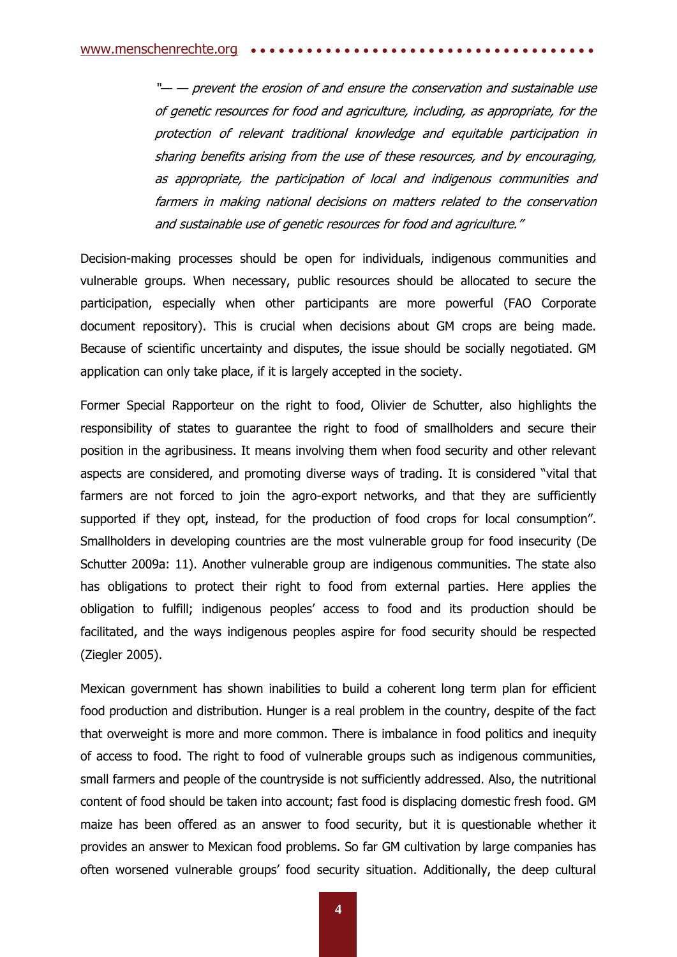"— — prevent the erosion of and ensure the conservation and sustainable use of genetic resources for food and agriculture, including, as appropriate, for the protection of relevant traditional knowledge and equitable participation in sharing benefits arising from the use of these resources, and by encouraging, as appropriate, the participation of local and indigenous communities and farmers in making national decisions on matters related to the conservation and sustainable use of genetic resources for food and agriculture."

Decision-making processes should be open for individuals, indigenous communities and vulnerable groups. When necessary, public resources should be allocated to secure the participation, especially when other participants are more powerful (FAO Corporate document repository). This is crucial when decisions about GM crops are being made. Because of scientific uncertainty and disputes, the issue should be socially negotiated. GM application can only take place, if it is largely accepted in the society.

Former Special Rapporteur on the right to food, Olivier de Schutter, also highlights the responsibility of states to guarantee the right to food of smallholders and secure their position in the agribusiness. It means involving them when food security and other relevant aspects are considered, and promoting diverse ways of trading. It is considered "vital that farmers are not forced to join the agro-export networks, and that they are sufficiently supported if they opt, instead, for the production of food crops for local consumption". Smallholders in developing countries are the most vulnerable group for food insecurity (De Schutter 2009a: 11). Another vulnerable group are indigenous communities. The state also has obligations to protect their right to food from external parties. Here applies the obligation to fulfill; indigenous peoples' access to food and its production should be facilitated, and the ways indigenous peoples aspire for food security should be respected (Ziegler 2005).

Mexican government has shown inabilities to build a coherent long term plan for efficient food production and distribution. Hunger is a real problem in the country, despite of the fact that overweight is more and more common. There is imbalance in food politics and inequity of access to food. The right to food of vulnerable groups such as indigenous communities, small farmers and people of the countryside is not sufficiently addressed. Also, the nutritional content of food should be taken into account; fast food is displacing domestic fresh food. GM maize has been offered as an answer to food security, but it is questionable whether it provides an answer to Mexican food problems. So far GM cultivation by large companies has often worsened vulnerable groups' food security situation. Additionally, the deep cultural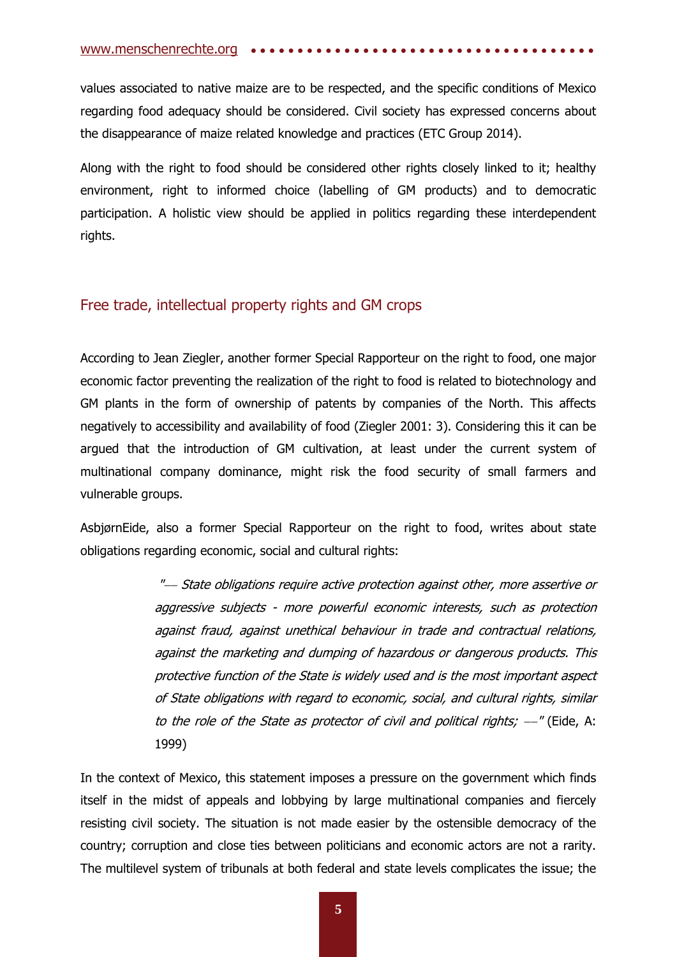[www.menschenrechte.org](http://www.menschenrechte.org/) ••••••

values associated to native maize are to be respected, and the specific conditions of Mexico regarding food adequacy should be considered. Civil society has expressed concerns about the disappearance of maize related knowledge and practices (ETC Group 2014).

Along with the right to food should be considered other rights closely linked to it; healthy environment, right to informed choice (labelling of GM products) and to democratic participation. A holistic view should be applied in politics regarding these interdependent rights.

# Free trade, intellectual property rights and GM crops

According to Jean Ziegler, another former Special Rapporteur on the right to food, one major economic factor preventing the realization of the right to food is related to biotechnology and GM plants in the form of ownership of patents by companies of the North. This affects negatively to accessibility and availability of food (Ziegler 2001: 3). Considering this it can be argued that the introduction of GM cultivation, at least under the current system of multinational company dominance, might risk the food security of small farmers and vulnerable groups.

AsbjørnEide, also a former Special Rapporteur on the right to food, writes about state obligations regarding economic, social and cultural rights:

> "--- State obligations require active protection against other, more assertive or aggressive subjects - more powerful economic interests, such as protection against fraud, against unethical behaviour in trade and contractual relations, against the marketing and dumping of hazardous or dangerous products. This protective function of the State is widely used and is the most important aspect of State obligations with regard to economic, social, and cultural rights, similar to the role of the State as protector of civil and political rights;  $-$ " (Eide, A; 1999)

In the context of Mexico, this statement imposes a pressure on the government which finds itself in the midst of appeals and lobbying by large multinational companies and fiercely resisting civil society. The situation is not made easier by the ostensible democracy of the country; corruption and close ties between politicians and economic actors are not a rarity. The multilevel system of tribunals at both federal and state levels complicates the issue; the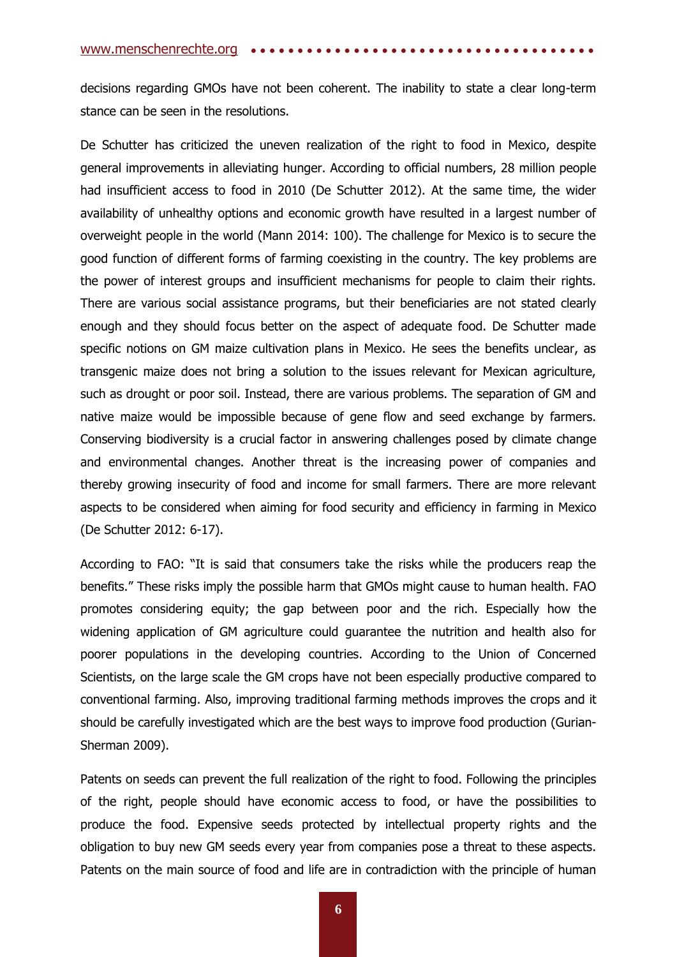decisions regarding GMOs have not been coherent. The inability to state a clear long-term stance can be seen in the resolutions.

De Schutter has criticized the uneven realization of the right to food in Mexico, despite general improvements in alleviating hunger. According to official numbers, 28 million people had insufficient access to food in 2010 (De Schutter 2012). At the same time, the wider availability of unhealthy options and economic growth have resulted in a largest number of overweight people in the world (Mann 2014: 100). The challenge for Mexico is to secure the good function of different forms of farming coexisting in the country. The key problems are the power of interest groups and insufficient mechanisms for people to claim their rights. There are various social assistance programs, but their beneficiaries are not stated clearly enough and they should focus better on the aspect of adequate food. De Schutter made specific notions on GM maize cultivation plans in Mexico. He sees the benefits unclear, as transgenic maize does not bring a solution to the issues relevant for Mexican agriculture, such as drought or poor soil. Instead, there are various problems. The separation of GM and native maize would be impossible because of gene flow and seed exchange by farmers. Conserving biodiversity is a crucial factor in answering challenges posed by climate change and environmental changes. Another threat is the increasing power of companies and thereby growing insecurity of food and income for small farmers. There are more relevant aspects to be considered when aiming for food security and efficiency in farming in Mexico (De Schutter 2012: 6-17).

According to FAO: "It is said that consumers take the risks while the producers reap the benefits." These risks imply the possible harm that GMOs might cause to human health. FAO promotes considering equity; the gap between poor and the rich. Especially how the widening application of GM agriculture could guarantee the nutrition and health also for poorer populations in the developing countries. According to the Union of Concerned Scientists, on the large scale the GM crops have not been especially productive compared to conventional farming. Also, improving traditional farming methods improves the crops and it should be carefully investigated which are the best ways to improve food production (Gurian-Sherman 2009).

Patents on seeds can prevent the full realization of the right to food. Following the principles of the right, people should have economic access to food, or have the possibilities to produce the food. Expensive seeds protected by intellectual property rights and the obligation to buy new GM seeds every year from companies pose a threat to these aspects. Patents on the main source of food and life are in contradiction with the principle of human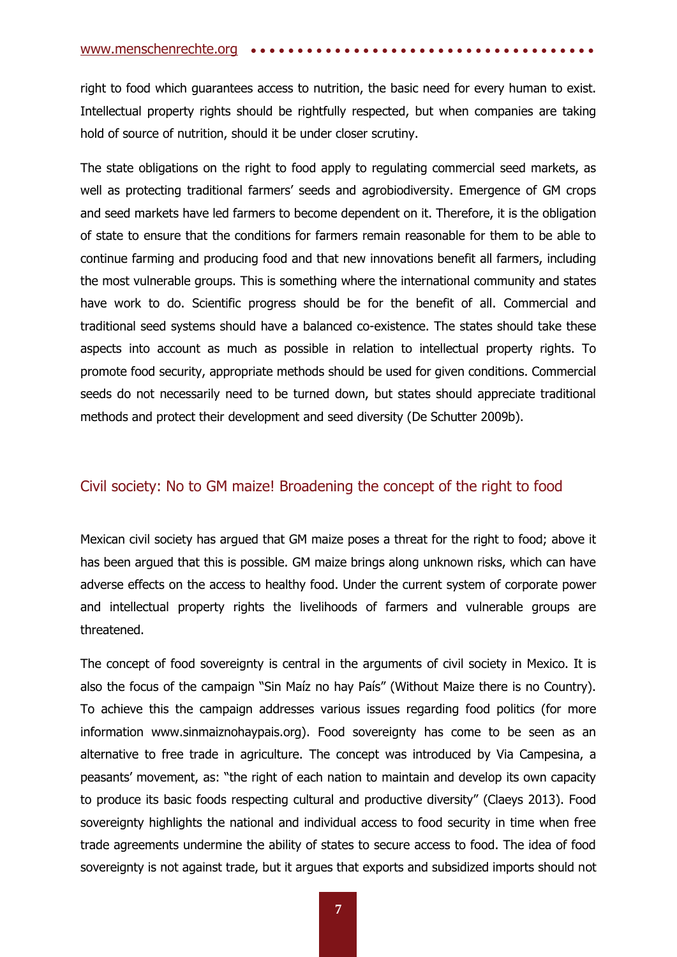right to food which guarantees access to nutrition, the basic need for every human to exist. Intellectual property rights should be rightfully respected, but when companies are taking hold of source of nutrition, should it be under closer scrutiny.

The state obligations on the right to food apply to regulating commercial seed markets, as well as protecting traditional farmers' seeds and agrobiodiversity. Emergence of GM crops and seed markets have led farmers to become dependent on it. Therefore, it is the obligation of state to ensure that the conditions for farmers remain reasonable for them to be able to continue farming and producing food and that new innovations benefit all farmers, including the most vulnerable groups. This is something where the international community and states have work to do. Scientific progress should be for the benefit of all. Commercial and traditional seed systems should have a balanced co-existence. The states should take these aspects into account as much as possible in relation to intellectual property rights. To promote food security, appropriate methods should be used for given conditions. Commercial seeds do not necessarily need to be turned down, but states should appreciate traditional methods and protect their development and seed diversity (De Schutter 2009b).

## Civil society: No to GM maize! Broadening the concept of the right to food

Mexican civil society has argued that GM maize poses a threat for the right to food; above it has been argued that this is possible. GM maize brings along unknown risks, which can have adverse effects on the access to healthy food. Under the current system of corporate power and intellectual property rights the livelihoods of farmers and vulnerable groups are threatened.

The concept of food sovereignty is central in the arguments of civil society in Mexico. It is also the focus of the campaign "Sin Maíz no hay País" (Without Maize there is no Country). To achieve this the campaign addresses various issues regarding food politics (for more information www.sinmaiznohaypais.org). Food sovereignty has come to be seen as an alternative to free trade in agriculture. The concept was introduced by Via Campesina, a peasants' movement, as: "the right of each nation to maintain and develop its own capacity to produce its basic foods respecting cultural and productive diversity" (Claeys 2013). Food sovereignty highlights the national and individual access to food security in time when free trade agreements undermine the ability of states to secure access to food. The idea of food sovereignty is not against trade, but it argues that exports and subsidized imports should not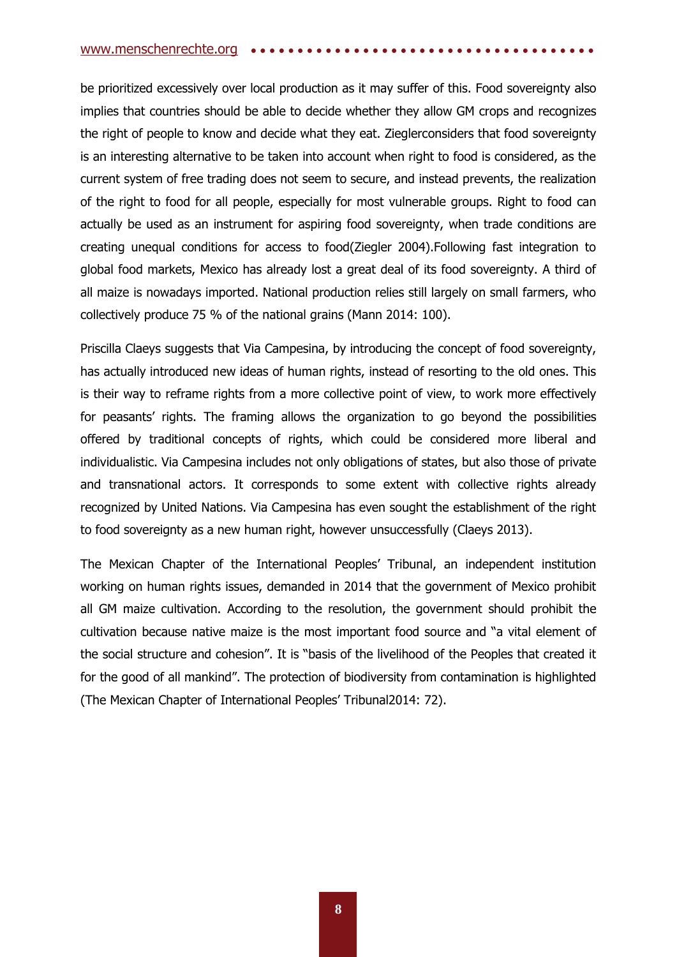#### [www.menschenrechte.org](http://www.menschenrechte.org/) ••••••

be prioritized excessively over local production as it may suffer of this. Food sovereignty also implies that countries should be able to decide whether they allow GM crops and recognizes the right of people to know and decide what they eat. Zieglerconsiders that food sovereignty is an interesting alternative to be taken into account when right to food is considered, as the current system of free trading does not seem to secure, and instead prevents, the realization of the right to food for all people, especially for most vulnerable groups. Right to food can actually be used as an instrument for aspiring food sovereignty, when trade conditions are creating unequal conditions for access to food(Ziegler 2004).Following fast integration to global food markets, Mexico has already lost a great deal of its food sovereignty. A third of all maize is nowadays imported. National production relies still largely on small farmers, who collectively produce 75 % of the national grains (Mann 2014: 100).

Priscilla Claeys suggests that Via Campesina, by introducing the concept of food sovereignty, has actually introduced new ideas of human rights, instead of resorting to the old ones. This is their way to reframe rights from a more collective point of view, to work more effectively for peasants' rights. The framing allows the organization to go beyond the possibilities offered by traditional concepts of rights, which could be considered more liberal and individualistic. Via Campesina includes not only obligations of states, but also those of private and transnational actors. It corresponds to some extent with collective rights already recognized by United Nations. Via Campesina has even sought the establishment of the right to food sovereignty as a new human right, however unsuccessfully (Claeys 2013).

The Mexican Chapter of the International Peoples' Tribunal, an independent institution working on human rights issues, demanded in 2014 that the government of Mexico prohibit all GM maize cultivation. According to the resolution, the government should prohibit the cultivation because native maize is the most important food source and "a vital element of the social structure and cohesion". It is "basis of the livelihood of the Peoples that created it for the good of all mankind". The protection of biodiversity from contamination is highlighted (The Mexican Chapter of International Peoples' Tribunal2014: 72).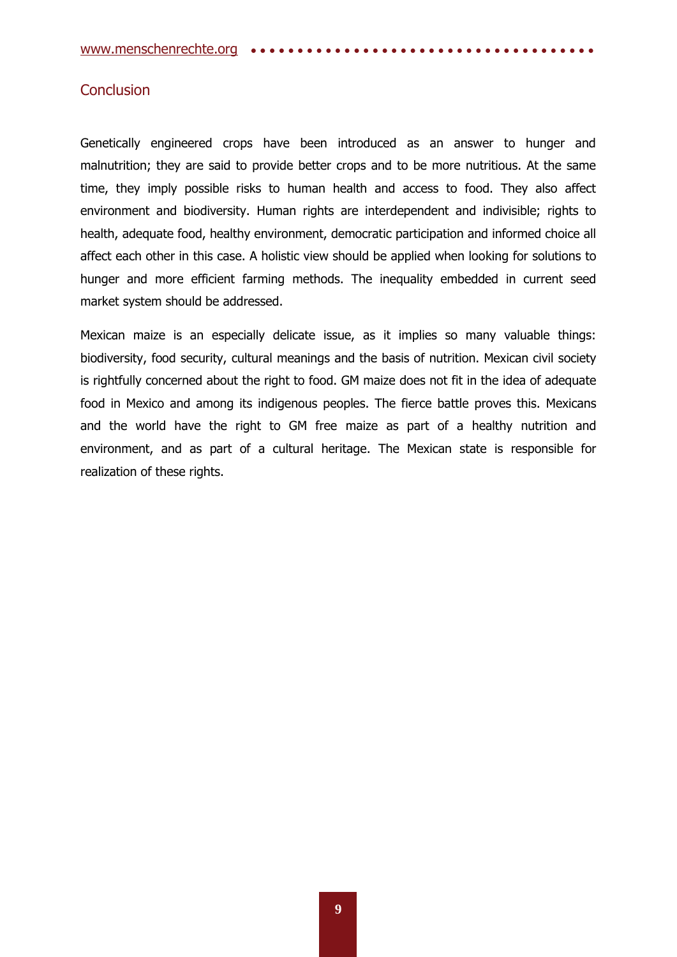## **Conclusion**

Genetically engineered crops have been introduced as an answer to hunger and malnutrition; they are said to provide better crops and to be more nutritious. At the same time, they imply possible risks to human health and access to food. They also affect environment and biodiversity. Human rights are interdependent and indivisible; rights to health, adequate food, healthy environment, democratic participation and informed choice all affect each other in this case. A holistic view should be applied when looking for solutions to hunger and more efficient farming methods. The inequality embedded in current seed market system should be addressed.

Mexican maize is an especially delicate issue, as it implies so many valuable things: biodiversity, food security, cultural meanings and the basis of nutrition. Mexican civil society is rightfully concerned about the right to food. GM maize does not fit in the idea of adequate food in Mexico and among its indigenous peoples. The fierce battle proves this. Mexicans and the world have the right to GM free maize as part of a healthy nutrition and environment, and as part of a cultural heritage. The Mexican state is responsible for realization of these rights.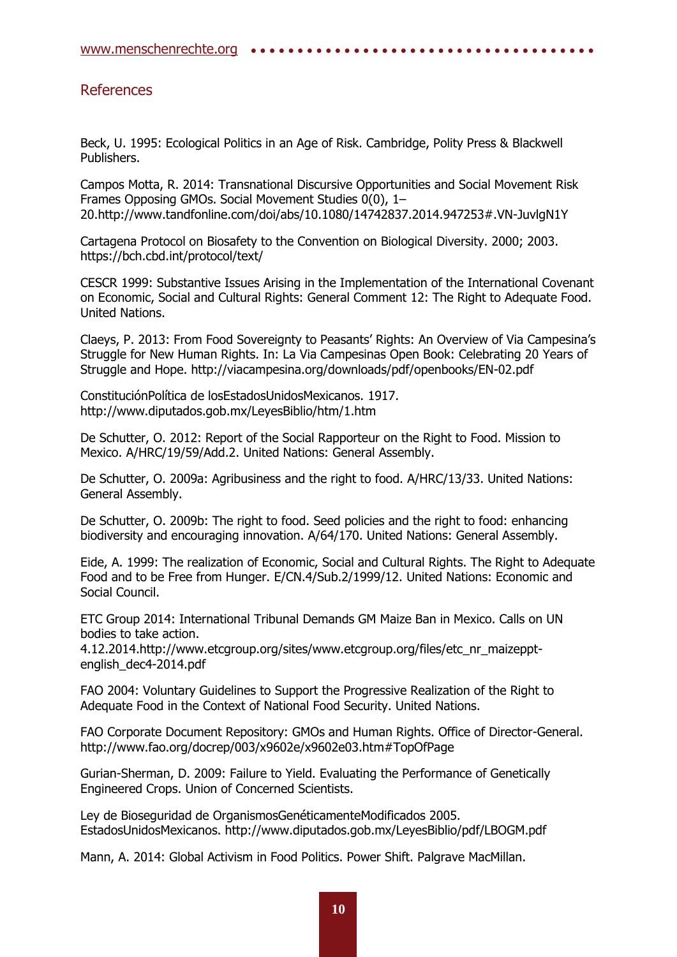## References

Beck, U. 1995: Ecological Politics in an Age of Risk. Cambridge, Polity Press & Blackwell Publishers.

Campos Motta, R. 2014: Transnational Discursive Opportunities and Social Movement Risk Frames Opposing GMOs. Social Movement Studies 0(0), 1– 20.http://www.tandfonline.com/doi/abs/10.1080/14742837.2014.947253#.VN-JuvlgN1Y

Cartagena Protocol on Biosafety to the Convention on Biological Diversity. 2000; 2003. https://bch.cbd.int/protocol/text/

CESCR 1999: Substantive Issues Arising in the Implementation of the International Covenant on Economic, Social and Cultural Rights: General Comment 12: The Right to Adequate Food. United Nations.

Claeys, P. 2013: From Food Sovereignty to Peasants' Rights: An Overview of Via Campesina's Struggle for New Human Rights. In: La Via Campesinas Open Book: Celebrating 20 Years of Struggle and Hope. http://viacampesina.org/downloads/pdf/openbooks/EN-02.pdf

ConstituciónPolítica de losEstadosUnidosMexicanos. 1917. http://www.diputados.gob.mx/LeyesBiblio/htm/1.htm

De Schutter, O. 2012: Report of the Social Rapporteur on the Right to Food. Mission to Mexico. A/HRC/19/59/Add.2. United Nations: General Assembly.

De Schutter, O. 2009a: Agribusiness and the right to food. A/HRC/13/33. United Nations: General Assembly.

De Schutter, O. 2009b: The right to food. Seed policies and the right to food: enhancing biodiversity and encouraging innovation. A/64/170. United Nations: General Assembly.

Eide, A. 1999: The realization of Economic, Social and Cultural Rights. The Right to Adequate Food and to be Free from Hunger. E/CN.4/Sub.2/1999/12. United Nations: Economic and Social Council.

ETC Group 2014: International Tribunal Demands GM Maize Ban in Mexico. Calls on UN bodies to take action.

4.12.2014.http://www.etcgroup.org/sites/www.etcgroup.org/files/etc\_nr\_maizepptenglish\_dec4-2014.pdf

FAO 2004: Voluntary Guidelines to Support the Progressive Realization of the Right to Adequate Food in the Context of National Food Security. United Nations.

FAO Corporate Document Repository: GMOs and Human Rights. Office of Director-General. http://www.fao.org/docrep/003/x9602e/x9602e03.htm#TopOfPage

Gurian-Sherman, D. 2009: Failure to Yield. Evaluating the Performance of Genetically Engineered Crops. Union of Concerned Scientists.

Ley de Bioseguridad de OrganismosGenéticamenteModificados 2005. EstadosUnidosMexicanos. http://www.diputados.gob.mx/LeyesBiblio/pdf/LBOGM.pdf

Mann, A. 2014: Global Activism in Food Politics. Power Shift. Palgrave MacMillan.